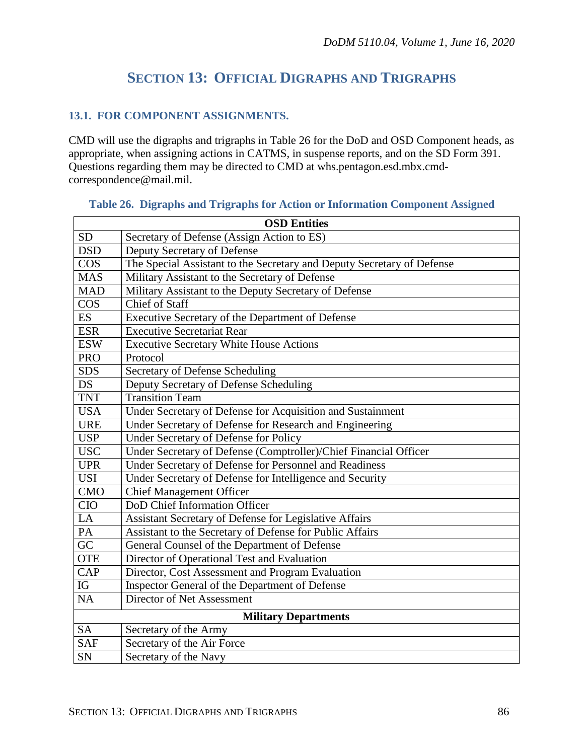# **SECTION 13: OFFICIAL DIGRAPHS AND TRIGRAPHS**

## **13.1. FOR COMPONENT ASSIGNMENTS.**

CMD will use the digraphs and trigraphs in Table 26 for the DoD and OSD Component heads, as appropriate, when assigning actions in CATMS, in suspense reports, and on the SD Form 391. Questions regarding them may be directed to CMD at whs.pentagon.esd.mbx.cmdcorrespondence@mail.mil.

| <b>OSD Entities</b>         |                                                                        |  |  |  |
|-----------------------------|------------------------------------------------------------------------|--|--|--|
| <b>SD</b>                   | Secretary of Defense (Assign Action to ES)                             |  |  |  |
| <b>DSD</b>                  | Deputy Secretary of Defense                                            |  |  |  |
| <b>COS</b>                  | The Special Assistant to the Secretary and Deputy Secretary of Defense |  |  |  |
| <b>MAS</b>                  | Military Assistant to the Secretary of Defense                         |  |  |  |
| <b>MAD</b>                  | Military Assistant to the Deputy Secretary of Defense                  |  |  |  |
| $\cos$                      | Chief of Staff                                                         |  |  |  |
| <b>ES</b>                   | Executive Secretary of the Department of Defense                       |  |  |  |
| <b>ESR</b>                  | <b>Executive Secretariat Rear</b>                                      |  |  |  |
| <b>ESW</b>                  | <b>Executive Secretary White House Actions</b>                         |  |  |  |
| <b>PRO</b>                  | Protocol                                                               |  |  |  |
| <b>SDS</b>                  | Secretary of Defense Scheduling                                        |  |  |  |
| <b>DS</b>                   | Deputy Secretary of Defense Scheduling                                 |  |  |  |
| <b>TNT</b>                  | <b>Transition Team</b>                                                 |  |  |  |
| <b>USA</b>                  | Under Secretary of Defense for Acquisition and Sustainment             |  |  |  |
| <b>URE</b>                  | Under Secretary of Defense for Research and Engineering                |  |  |  |
| <b>USP</b>                  | <b>Under Secretary of Defense for Policy</b>                           |  |  |  |
| <b>USC</b>                  | Under Secretary of Defense (Comptroller)/Chief Financial Officer       |  |  |  |
| <b>UPR</b>                  | Under Secretary of Defense for Personnel and Readiness                 |  |  |  |
| <b>USI</b>                  | Under Secretary of Defense for Intelligence and Security               |  |  |  |
| <b>CMO</b>                  | <b>Chief Management Officer</b>                                        |  |  |  |
| <b>CIO</b>                  | DoD Chief Information Officer                                          |  |  |  |
| LA                          | Assistant Secretary of Defense for Legislative Affairs                 |  |  |  |
| PA                          | Assistant to the Secretary of Defense for Public Affairs               |  |  |  |
| GC                          | General Counsel of the Department of Defense                           |  |  |  |
| <b>OTE</b>                  | Director of Operational Test and Evaluation                            |  |  |  |
| <b>CAP</b>                  | Director, Cost Assessment and Program Evaluation                       |  |  |  |
| IG                          | Inspector General of the Department of Defense                         |  |  |  |
| NA                          | Director of Net Assessment                                             |  |  |  |
| <b>Military Departments</b> |                                                                        |  |  |  |
| <b>SA</b>                   | Secretary of the Army                                                  |  |  |  |
| <b>SAF</b>                  | Secretary of the Air Force                                             |  |  |  |
| SN                          | Secretary of the Navy                                                  |  |  |  |

#### **Table 26. Digraphs and Trigraphs for Action or Information Component Assigned**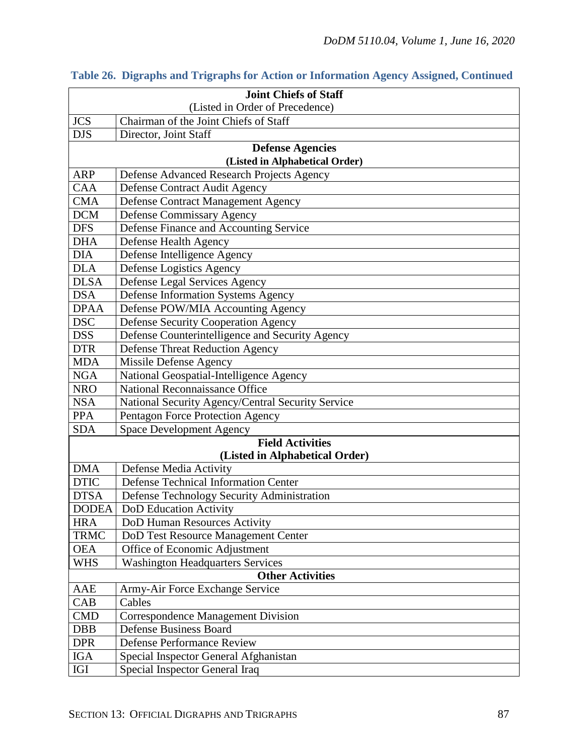|                                 | <b>Joint Chiefs of Staff</b>                      |  |  |  |  |
|---------------------------------|---------------------------------------------------|--|--|--|--|
| (Listed in Order of Precedence) |                                                   |  |  |  |  |
| <b>JCS</b>                      | Chairman of the Joint Chiefs of Staff             |  |  |  |  |
| <b>DJS</b>                      | Director, Joint Staff                             |  |  |  |  |
|                                 | <b>Defense Agencies</b>                           |  |  |  |  |
|                                 | (Listed in Alphabetical Order)                    |  |  |  |  |
| <b>ARP</b>                      | Defense Advanced Research Projects Agency         |  |  |  |  |
| <b>CAA</b>                      | Defense Contract Audit Agency                     |  |  |  |  |
| <b>CMA</b>                      | <b>Defense Contract Management Agency</b>         |  |  |  |  |
| <b>DCM</b>                      | Defense Commissary Agency                         |  |  |  |  |
| <b>DFS</b>                      | Defense Finance and Accounting Service            |  |  |  |  |
| <b>DHA</b>                      | Defense Health Agency                             |  |  |  |  |
| <b>DIA</b>                      | Defense Intelligence Agency                       |  |  |  |  |
| <b>DLA</b>                      | Defense Logistics Agency                          |  |  |  |  |
| <b>DLSA</b>                     | Defense Legal Services Agency                     |  |  |  |  |
| <b>DSA</b>                      | Defense Information Systems Agency                |  |  |  |  |
| <b>DPAA</b>                     | Defense POW/MIA Accounting Agency                 |  |  |  |  |
| <b>DSC</b>                      | <b>Defense Security Cooperation Agency</b>        |  |  |  |  |
| <b>DSS</b>                      | Defense Counterintelligence and Security Agency   |  |  |  |  |
| <b>DTR</b>                      | <b>Defense Threat Reduction Agency</b>            |  |  |  |  |
| <b>MDA</b>                      | Missile Defense Agency                            |  |  |  |  |
| <b>NGA</b>                      | National Geospatial-Intelligence Agency           |  |  |  |  |
| <b>NRO</b>                      | <b>National Reconnaissance Office</b>             |  |  |  |  |
| <b>NSA</b>                      | National Security Agency/Central Security Service |  |  |  |  |
| <b>PPA</b>                      | Pentagon Force Protection Agency                  |  |  |  |  |
| <b>SDA</b>                      | <b>Space Development Agency</b>                   |  |  |  |  |
|                                 | <b>Field Activities</b>                           |  |  |  |  |
|                                 | (Listed in Alphabetical Order)                    |  |  |  |  |
| <b>DMA</b>                      | Defense Media Activity                            |  |  |  |  |
| <b>DTIC</b>                     | <b>Defense Technical Information Center</b>       |  |  |  |  |
| <b>DTSA</b>                     | Defense Technology Security Administration        |  |  |  |  |
| <b>DODEA</b>                    | <b>DoD</b> Education Activity                     |  |  |  |  |
| <b>HRA</b>                      | DoD Human Resources Activity                      |  |  |  |  |
| <b>TRMC</b>                     | DoD Test Resource Management Center               |  |  |  |  |
| <b>OEA</b>                      | Office of Economic Adjustment                     |  |  |  |  |
| <b>WHS</b>                      | <b>Washington Headquarters Services</b>           |  |  |  |  |
| <b>Other Activities</b>         |                                                   |  |  |  |  |
| AAE                             | Army-Air Force Exchange Service                   |  |  |  |  |
| CAB                             | Cables                                            |  |  |  |  |
| <b>CMD</b>                      | <b>Correspondence Management Division</b>         |  |  |  |  |
| <b>DBB</b>                      | <b>Defense Business Board</b>                     |  |  |  |  |
| <b>DPR</b>                      | <b>Defense Performance Review</b>                 |  |  |  |  |
| IGA                             | Special Inspector General Afghanistan             |  |  |  |  |
| IGI                             | Special Inspector General Iraq                    |  |  |  |  |

|  | Table 26. Digraphs and Trigraphs for Action or Information Agency Assigned, Continued |  |  |  |  |  |  |
|--|---------------------------------------------------------------------------------------|--|--|--|--|--|--|
|--|---------------------------------------------------------------------------------------|--|--|--|--|--|--|